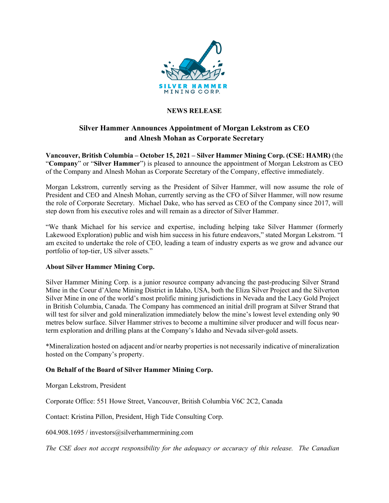

## **NEWS RELEASE**

## **Silver Hammer Announces Appointment of Morgan Lekstrom as CEO and Alnesh Mohan as Corporate Secretary**

**Vancouver, British Columbia – October 15, 2021 – Silver Hammer Mining Corp. (CSE: HAMR)** (the "**Company**" or "**Silver Hammer**") is pleased to announce the appointment of Morgan Lekstrom as CEO of the Company and Alnesh Mohan as Corporate Secretary of the Company, effective immediately.

Morgan Lekstrom, currently serving as the President of Silver Hammer, will now assume the role of President and CEO and Alnesh Mohan, currently serving as the CFO of Silver Hammer, will now resume the role of Corporate Secretary. Michael Dake, who has served as CEO of the Company since 2017, will step down from his executive roles and will remain as a director of Silver Hammer.

"We thank Michael for his service and expertise, including helping take Silver Hammer (formerly Lakewood Exploration) public and wish him success in his future endeavors," stated Morgan Lekstrom. "I am excited to undertake the role of CEO, leading a team of industry experts as we grow and advance our portfolio of top-tier, US silver assets."

## **About Silver Hammer Mining Corp.**

Silver Hammer Mining Corp. is a junior resource company advancing the past-producing Silver Strand Mine in the Coeur d'Alene Mining District in Idaho, USA, both the Eliza Silver Project and the Silverton Silver Mine in one of the world's most prolific mining jurisdictions in Nevada and the Lacy Gold Project in British Columbia, Canada. The Company has commenced an initial drill program at Silver Strand that will test for silver and gold mineralization immediately below the mine's lowest level extending only 90 metres below surface. Silver Hammer strives to become a multimine silver producer and will focus nearterm exploration and drilling plans at the Company's Idaho and Nevada silver-gold assets.

\*Mineralization hosted on adjacent and/or nearby properties is not necessarily indicative of mineralization hosted on the Company's property.

## **On Behalf of the Board of Silver Hammer Mining Corp.**

Morgan Lekstrom, President

Corporate Office: 551 Howe Street, Vancouver, British Columbia V6C 2C2, Canada

Contact: Kristina Pillon, President, High Tide Consulting Corp.

604.908.1695 / investors@silverhammermining.com

*The CSE does not accept responsibility for the adequacy or accuracy of this release. The Canadian*